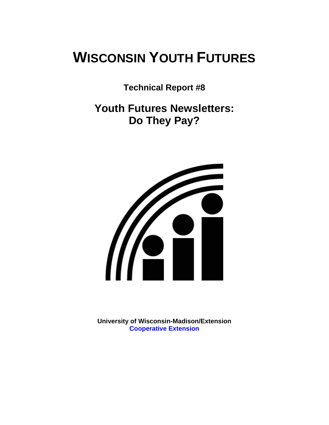# **WISCONSIN YOUTH FUTURES**

**Technical Report #8** 

**Youth Futures Newsletters: Do They Pay?** 



**University of Wisconsin-Madison/Extension [Cooperative Extension](http://www1.uwex.edu/ces/index.cfm)**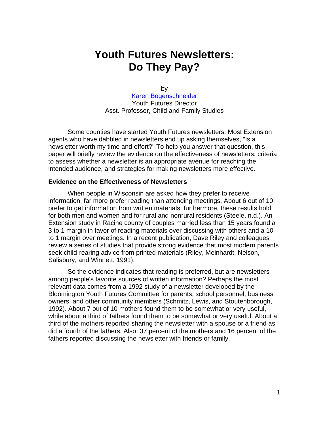## **Youth Futures Newsletters: Do They Pay?**

by [Karen Bogenschneider](http://www.uwex.edu/ces/flp/specialists/bogensch.html) Youth Futures Director Asst. Professor, Child and Family Studies

Some counties have started Youth Futures newsletters. Most Extension agents who have dabbled in newsletters end up asking themselves, "Is a newsletter worth my time and effort?" To help you answer that question, this paper will briefly review the evidence on the effectiveness of newsletters, criteria to assess whether a newsletter is an appropriate avenue for reaching the intended audience, and strategies for making newsletters more effective.

#### **Evidence on the Effectiveness of Newsletters**

When people in Wisconsin are asked how they prefer to receive information, far more prefer reading than attending meetings. About 6 out of 10 prefer to get information from written materials; furthermore, these results hold for both men and women and for rural and nonrural residents (Steele, n.d.). An Extension study in Racine county of couples married less than 15 years found a 3 to 1 margin in favor of reading materials over discussing with others and a 10 to 1 margin over meetings. In a recent publication, Dave Riley and colleagues review a series of studies that provide strong evidence that most modern parents seek child-rearing advice from printed materials (Riley, Meinhardt, Nelson, Salisbury, and Winnett, 1991).

So the evidence indicates that reading is preferred, but are newsletters among people's favorite sources of written information? Perhaps the most relevant data comes from a 1992 study of a newsletter developed by the Bloomington Youth Futures Committee for parents, school personnel, business owners, and other community members (Schmitz, Lewis, and Stoutenborough, 1992). About 7 out of 10 mothers found them to be somewhat or very useful, while about a third of fathers found them to be somewhat or very useful. About a third of the mothers reported sharing the newsletter with a spouse or a friend as did a fourth of the fathers. Also, 37 percent of the mothers and 16 percent of the fathers reported discussing the newsletter with friends or family.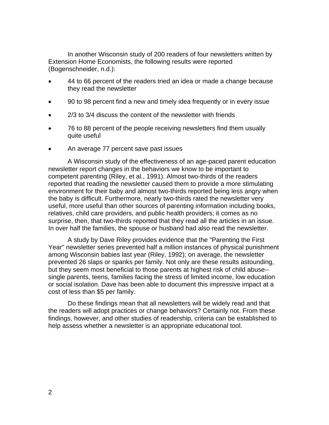In another Wisconsin study of 200 readers of four newsletters written by Extension Home Economists, the following results were reported (Bogenschneider, n.d.):

- 44 to 66 percent of the readers tried an idea or made a change because they read the newsletter
- 90 to 98 percent find a new and timely idea frequently or in every issue
- 2/3 to 3/4 discuss the content of the newsletter with friends
- 76 to 88 percent of the people receiving newsletters find them usually quite useful
- An average 77 percent save past issues

A Wisconsin study of the effectiveness of an age-paced parent education newsletter report changes in the behaviors we know to be important to competent parenting (Riley, et al., 1991). Almost two-thirds of the readers reported that reading the newsletter caused them to provide a more stimulating environment for their baby and almost two-thirds reported being less angry when the baby is difficult. Furthermore, nearly two-thirds rated the newsletter very useful, more useful than other sources of parenting information including books, relatives, child care providers, and public health providers; it comes as no surprise, then, that two-thirds reported that they read all the articles in an issue. In over half the families, the spouse or husband had also read the newsletter.

A study by Dave Riley provides evidence that the "Parenting the First Year" newsletter series prevented half a million instances of physical punishment among Wisconsin babies last year (Riley, 1992); on average, the newsletter prevented 26 slaps or spanks per family. Not only are these results astounding, but they seem most beneficial to those parents at highest risk of child abuse- single parents, teens, families facing the stress of limited income, low education or social isolation. Dave has been able to document this impressive impact at a cost of less than \$5 per family.

Do these findings mean that all newsletters will be widely read and that the readers will adopt practices or change behaviors? Certainly not. From these findings, however, and other studies of readership, criteria can be established to help assess whether a newsletter is an appropriate educational tool.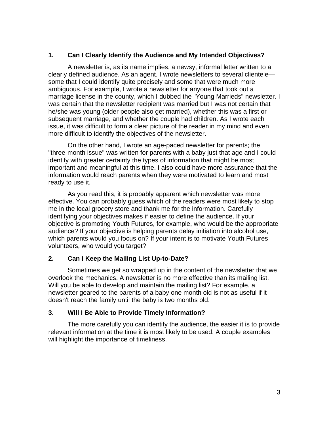#### **1. Can I Clearly Identify the Audience and My Intended Objectives?**

A newsletter is, as its name implies, a newsy, informal letter written to a clearly defined audience. As an agent, I wrote newsletters to several clientele some that I could identify quite precisely and some that were much more ambiguous. For example, I wrote a newsletter for anyone that took out a marriage license in the county, which I dubbed the "Young Marrieds" newsletter. I was certain that the newsletter recipient was married but I was not certain that he/she was young (older people also get married), whether this was a first or subsequent marriage, and whether the couple had children. As I wrote each issue, it was difficult to form a clear picture of the reader in my mind and even more difficult to identify the objectives of the newsletter.

On the other hand, I wrote an age-paced newsletter for parents; the "three-month issue" was written for parents with a baby just that age and I could identify with greater certainty the types of information that might be most important and meaningful at this time. I also could have more assurance that the information would reach parents when they were motivated to learn and most ready to use it.

As you read this, it is probably apparent which newsletter was more effective. You can probably guess which of the readers were most likely to stop me in the local grocery store and thank me for the information. Carefully identifying your objectives makes if easier to define the audience. If your objective is promoting Youth Futures, for example, who would be the appropriate audience? If your objective is helping parents delay initiation into alcohol use, which parents would you focus on? If your intent is to motivate Youth Futures volunteers, who would you target?

#### **2. Can I Keep the Mailing List Up-to-Date?**

Sometimes we get so wrapped up in the content of the newsletter that we overlook the mechanics. A newsletter is no more effective than its mailing list. Will you be able to develop and maintain the mailing list? For example, a newsletter geared to the parents of a baby one month old is not as useful if it doesn't reach the family until the baby is two months old.

#### **3. Will I Be Able to Provide Timely Information?**

The more carefully you can identify the audience, the easier it is to provide relevant information at the time it is most likely to be used. A couple examples will highlight the importance of timeliness.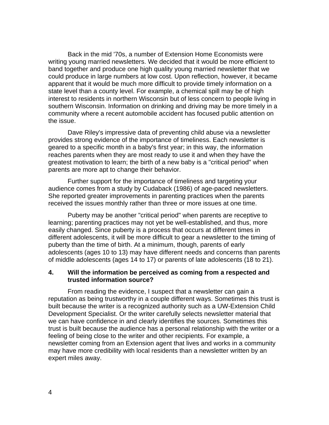Back in the mid '70s, a number of Extension Home Economists were writing young married newsletters. We decided that it would be more efficient to band together and produce one high quality young married newsletter that we could produce in large numbers at low cost. Upon reflection, however, it became apparent that it would be much more difficult to provide timely information on a state level than a county level. For example, a chemical spill may be of high interest to residents in northern Wisconsin but of less concern to people living in southern Wisconsin. Information on drinking and driving may be more timely in a community where a recent automobile accident has focused public attention on the issue.

Dave Riley's impressive data of preventing child abuse via a newsletter provides strong evidence of the importance of timeliness. Each newsletter is geared to a specific month in a baby's first year; in this way, the information reaches parents when they are most ready to use it and when they have the greatest motivation to learn; the birth of a new baby is a "critical period" when parents are more apt to change their behavior.

Further support for the importance of timeliness and targeting your audience comes from a study by Cudaback (1986) of age-paced newsletters. She reported greater improvements in parenting practices when the parents received the issues monthly rather than three or more issues at one time.

Puberty may be another "critical period" when parents are receptive to learning; parenting practices may not yet be well-established, and thus, more easily changed. Since puberty is a process that occurs at different times in different adolescents, it will be more difficult to gear a newsletter to the timing of puberty than the time of birth. At a minimum, though, parents of early adolescents (ages 10 to 13) may have different needs and concerns than parents of middle adolescents (ages 14 to 17) or parents of late adolescents (18 to 21).

#### **4. Will the information be perceived as coming from a respected and trusted information source?**

From reading the evidence, I suspect that a newsletter can gain a reputation as being trustworthy in a couple different ways. Sometimes this trust is built because the writer is a recognized authority such as a UW-Extension Child Development Specialist. Or the writer carefully selects newsletter material that we can have confidence in and clearly identifies the sources. Sometimes this trust is built because the audience has a personal relationship with the writer or a feeling of being close to the writer and other recipients. For example, a newsletter coming from an Extension agent that lives and works in a community may have more credibility with local residents than a newsletter written by an expert miles away.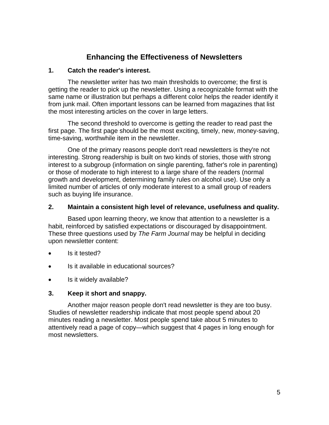### **Enhancing the Effectiveness of Newsletters**

#### **1. Catch the reader's interest.**

The newsletter writer has two main thresholds to overcome; the first is getting the reader to pick up the newsletter. Using a recognizable format with the same name or illustration but perhaps a different color helps the reader identify it from junk mail. Often important lessons can be learned from magazines that list the most interesting articles on the cover in large letters.

The second threshold to overcome is getting the reader to read past the first page. The first page should be the most exciting, timely, new, money-saving, time-saving, worthwhile item in the newsletter.

One of the primary reasons people don't read newsletters is they're not interesting. Strong readership is built on two kinds of stories, those with strong interest to a subgroup (information on single parenting, father's role in parenting) or those of moderate to high interest to a large share of the readers (normal growth and development, determining family rules on alcohol use). Use only a limited number of articles of only moderate interest to a small group of readers such as buying life insurance.

#### **2. Maintain a consistent high level of relevance, usefulness and quality.**

Based upon learning theory, we know that attention to a newsletter is a habit, reinforced by satisfied expectations or discouraged by disappointment. These three questions used by *The Farm Journal* may be helpful in deciding upon newsletter content:

- Is it tested?
- Is it available in educational sources?
- Is it widely available?

#### **3. Keep it short and snappy.**

Another major reason people don't read newsletter is they are too busy. Studies of newsletter readership indicate that most people spend about 20 minutes reading a newsletter. Most people spend take about 5 minutes to attentively read a page of copy—which suggest that 4 pages in long enough for most newsletters.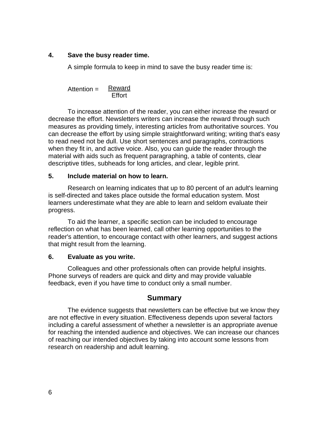#### **4. Save the busy reader time.**

A simple formula to keep in mind to save the busy reader time is:

**Reward Effort** Attention =

To increase attention of the reader, you can either increase the reward or decrease the effort. Newsletters writers can increase the reward through such measures as providing timely, interesting articles from authoritative sources. You can decrease the effort by using simple straightforward writing; writing that's easy to read need not be dull. Use short sentences and paragraphs, contractions when they fit in, and active voice. Also, you can guide the reader through the material with aids such as frequent paragraphing, a table of contents, clear descriptive titles, subheads for long articles, and clear, legible print.

#### **5. Include material on how to learn.**

Research on learning indicates that up to 80 percent of an adult's learning is self-directed and takes place outside the formal education system. Most learners underestimate what they are able to learn and seldom evaluate their progress.

To aid the learner, a specific section can be included to encourage reflection on what has been learned, call other learning opportunities to the reader's attention, to encourage contact with other learners, and suggest actions that might result from the learning.

#### **6. Evaluate as you write.**

Colleagues and other professionals often can provide helpful insights. Phone surveys of readers are quick and dirty and may provide valuable feedback, even if you have time to conduct only a small number.

#### **Summary**

The evidence suggests that newsletters can be effective but we know they are not effective in every situation. Effectiveness depends upon several factors including a careful assessment of whether a newsletter is an appropriate avenue for reaching the intended audience and objectives. We can increase our chances of reaching our intended objectives by taking into account some lessons from research on readership and adult learning.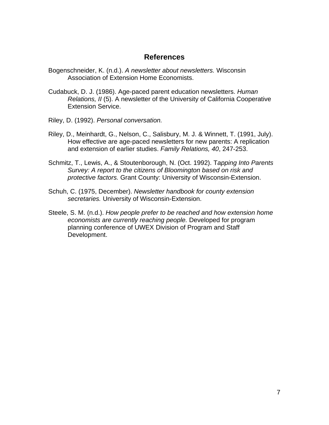#### **References**

- Bogenschneider, K. (n.d.). *A newsletter about newsletters.* Wisconsin Association of Extension Home Economists.
- Cudabuck, D. J. (1986). Age-paced parent education newsletters. *Human Relations, II* (5). A newsletter of the University of California Cooperative Extension Service.
- Riley, D. (1992). *Personal conversation.*
- Riley, D., Meinhardt, G., Nelson, C., Salisbury, M. J. & Winnett, T. (1991, July). How effective are age-paced newsletters for new parents: A replication and extension of earlier studies. *Family Relations, 40*, 247-253.
- Schmitz, T., Lewis, A., & Stoutenborough, N. (Oct. 1992). T*apping Into Parents Survey: A report to the citizens of Bloomington based on risk and protective factors.* Grant County: University of Wisconsin-Extension.
- Schuh, C. (1975, December). *Newsletter handbook for county extension secretaries.* University of Wisconsin-Extension.
- Steele, S. M. (n.d.). *How people prefer to be reached and how extension home economists are currently reaching people.* Developed for program planning conference of UWEX Division of Program and Staff Development.